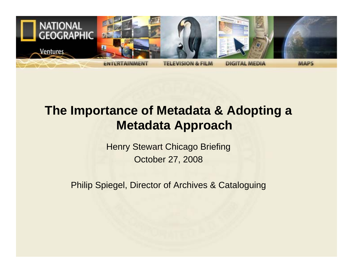

## **The Importance of Metadata & Adopting a Metadata Approach**

Henry Stewart Chicago Briefing October 27, 2008

Philip Spiegel, Director of Archives & Cataloguing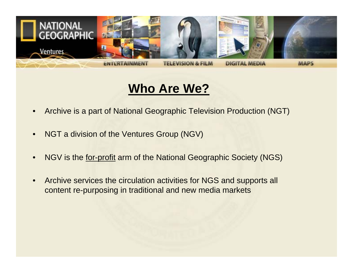

#### **Who Are We?**

- Archive is a part of National Geographic Television Production (NGT)
- NGT a division of the Ventures Group (NGV)
- NGV is the for-profit arm of the National Geographic Society (NGS)
- Archive services the circulation activities for NGS and supports all content re-purposing in traditional and new media markets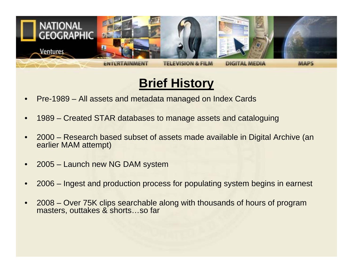

## **Brief History**

- Pre-1989 All assets and metadata managed on Index Cards
- 1989 Created STAR databases to manage assets and cataloguing
- 2000 Research based subset of assets made available in Digital Archive (an earlier MAM attempt)
- 2005 Launch new NG DAM system
- 2006 Ingest and production process for populating system begins in earnest
- 2008 Over 75K clips searchable along with thousands of hours of program masters, outtakes & shorts…so far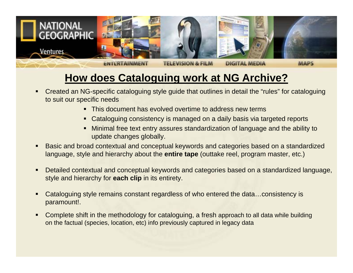

#### **How does Cataloguing work at NG Archive?**

- $\blacksquare$  Created an NG-specific cataloguing style guide that outlines in detail the "rules" for cataloguing to suit our specific needs
	- This document has evolved overtime to address new terms
	- Cataloguing consistency is managed on a daily basis via targeted reports
	- Minimal free text entry assures standardization of language and the ability to update changes globally.
- Basic and broad contextual and conceptual keywords and categories based on a standardized language, style and hierarchy about the **entire tape** (outtake reel, program master, etc.)
- п Detailed contextual and conceptual keywords and categories based on a standardized language, style and hierarchy for **each clip** in its entirety.
- п Cataloguing style remains constant regardless of who entered the data…consistency is paramount!.
- Complete shift in the methodology for cataloguing, a fresh approach to all data while building on the factual (species, location, etc) info previously captured in legacy data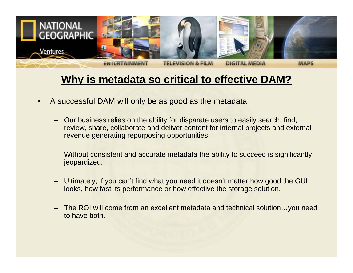

#### **Why is metadata so critical to effective DAM?**

- A successful DAM will only be as good as the metadata
	- Our business relies on the ability for disparate users to easily search, find, review, share, collaborate and deliver content for internal projects and external revenue generating repurposing opportunities.
	- Without consistent and accurate metadata the ability to succeed is significantly jeopardized.
	- Ultimately, if you can't find what you need it doesn't matter how good the GUI looks, how fast its performance or how effective the storage solution.
	- The ROI will come from an excellent metadata and technical solution…you need to have both.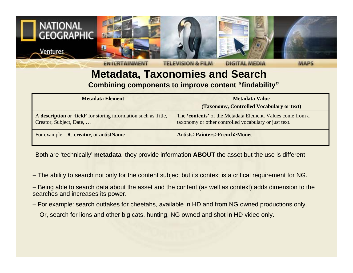

# **Metadata, Taxonomies and Search**

**Combining components to improve content "findability"**

| <b>Metadata Element</b>                                                                    | <b>Metadata Value</b>                                                                                               |  |
|--------------------------------------------------------------------------------------------|---------------------------------------------------------------------------------------------------------------------|--|
|                                                                                            | (Taxonomy, Controlled Vocabulary or text)                                                                           |  |
| A description or 'field' for storing information such as Title,<br>Creator, Subject, Date, | The 'contents' of the Metadata Element. Values come from a<br>taxonomy or other controlled vocabulary or just text. |  |
| For example: DC:creator, or artistName                                                     | <b>Artists&gt;Painters&gt;French&gt;Monet</b>                                                                       |  |

Both are 'technically' **metadata** they provide information **ABOUT** the asset but the use is different

- The ability to search not only for the content subject but its context is a critical requirement for NG.
- Being able to search data about the asset and the content (as well as context) adds dimension to the searches and increases its power.
- For example: search outtakes for cheetahs, available in HD and from NG owned productions only.
	- Or, search for lions and other big cats, hunting, NG owned and shot in HD video only.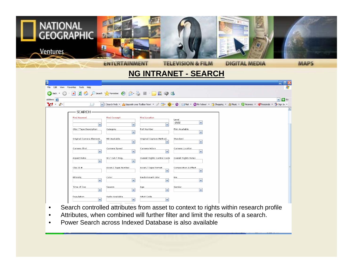

**NG INTRANET - SEARCH**

| 色                                            |                                                                     |                                     |                                      | $  \times$                                                                                                                                    |
|----------------------------------------------|---------------------------------------------------------------------|-------------------------------------|--------------------------------------|-----------------------------------------------------------------------------------------------------------------------------------------------|
| File<br>Edit<br>Favorites Tools Help<br>View |                                                                     |                                     |                                      |                                                                                                                                               |
|                                              | GBack · 〇 · × 日 〇 P Search 大 Favorites ④ <del>〇 号 目 ■ 回</del> 説 © 3 |                                     |                                      |                                                                                                                                               |
| Address <b>@</b>                             |                                                                     |                                     |                                      | $\rightarrow$ Go<br>$\vert \mathbf{v} \vert$                                                                                                  |
| $Y'$ $\ell$                                  |                                                                     |                                     |                                      | V + Search Web ▼ △ Upgrade your Toolbar Now! ▼ / 団 · ● ▼ ● 図 Mail ▼ ● My Yahoo! ▼ ● Music ▼ ● Music ▼ ● Personals ▼ ● Personals ▼ ● Sign In ▼ |
| SEARCH-                                      |                                                                     |                                     |                                      |                                                                                                                                               |
| <b>Find Keyword</b>                          | <b>Find Concept</b>                                                 | <b>Find Location</b>                |                                      |                                                                                                                                               |
|                                              |                                                                     |                                     | Level<br>$\checkmark$<br>child       |                                                                                                                                               |
| Clip / Tape Description                      | $\overline{\mathbf{v}}$<br>$\checkmark$                             | Roll Number                         | Film Available                       |                                                                                                                                               |
|                                              | Category<br>$\blacktriangledown$                                    |                                     | $\checkmark$                         |                                                                                                                                               |
| Original Camera Element                      | <b>HD Available</b>                                                 | Original Capture Method             | Standard                             |                                                                                                                                               |
|                                              | $\blacktriangledown$<br>$\checkmark$                                | $\checkmark$                        | $\checkmark$                         |                                                                                                                                               |
| Camera Shot                                  | Camera Speed                                                        | Camera Action                       | Camera Location                      |                                                                                                                                               |
|                                              | $\blacktriangledown$<br>$\blacktriangledown$                        | $\mathbf{v}$                        | $\checkmark$                         |                                                                                                                                               |
| Aspect Ratio                                 | In / Out / Prog.<br>$\blacktriangledown$<br>$\checkmark$            | Overall Rights Control Code         | Overall Rights Notes                 |                                                                                                                                               |
|                                              |                                                                     |                                     |                                      |                                                                                                                                               |
| ClipID#                                      | Asset / Tape Number                                                 | Asset / Tape Format<br>$\checkmark$ | Composition & Effect<br>$\checkmark$ |                                                                                                                                               |
| Ethnicity                                    | Color                                                               | Predominant color                   | Era                                  |                                                                                                                                               |
|                                              | $\checkmark$<br>$\checkmark$                                        | $\checkmark$                        | $\checkmark$                         |                                                                                                                                               |
| Time of Day                                  | Season                                                              | Age                                 | Gender                               |                                                                                                                                               |
|                                              | $\blacktriangledown$<br>$\color{blue}\mathbf{v}$                    | $\mathbf{v}$                        | $\checkmark$                         |                                                                                                                                               |
| Population                                   | Audio Available                                                     | Artist Code<br>$\checkmark$         |                                      |                                                                                                                                               |
|                                              | $\checkmark$<br>$\checkmark$                                        |                                     |                                      |                                                                                                                                               |

- Search controlled attributes from asset to context to rights within research profile
- Attributes, when combined will further filter and limit the results of a search.
- Power Search across Indexed Database is also available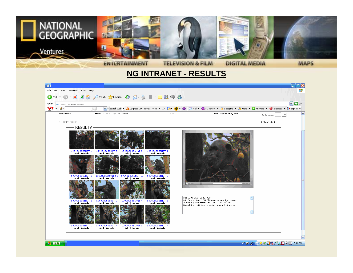

**NG INTRANET - RESULTS**

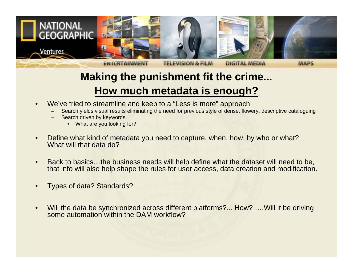

#### **Making the punishment fit the crime... How much metadata is enough?**

- We've tried to streamline and keep to a "Less is more" approach.
	- Search yields visual results eliminating the need for previous style of dense, flowery, descriptive cataloguing
	- Search driven by keywords
		- What are you looking for?
- Define what kind of metadata you need to capture, when, how, by who or what? What will that data do?
- Back to basics…the business needs will help define what the dataset will need to be, that info will also help shape the rules for user access, data creation and modification.
- Types of data? Standards?
- Will the data be synchronized across different platforms?... How? .... Will it be driving some automation within the DAM workflow?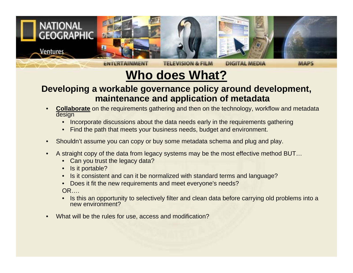

## **Who does What?**

#### **Developing a workable governance policy around development, maintenance and application of metadata**

- **Collaborate** on the requirements gathering and then on the technology, workflow and metadata design
	- Incorporate discussions about the data needs early in the requirements gathering
	- Find the path that meets your business needs, budget and environment.
- Shouldn't assume you can copy or buy some metadata schema and plug and play.
- A straight copy of the data from legacy systems may be the most effective method BUT…
	- Can you trust the legacy data?
	- Is it portable?
	- Is it consistent and can it be normalized with standard terms and language?
	- Does it fit the new requirements and meet everyone's needs? OR….
	- Is this an opportunity to selectively filter and clean data before carrying old problems into a new environment?
- What will be the rules for use, access and modification?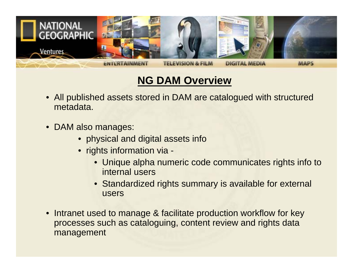

#### **NG DAM Overview**

- All published assets stored in DAM are catalogued with structured metadata.
- DAM also manages:
	- physical and digital assets info
	- rights information via
		- Unique alpha numeric code communicates rights info to internal users
		- Standardized rights summary is available for external users
- Intranet used to manage & facilitate production workflow for key processes such as cataloguing, content review and rights data management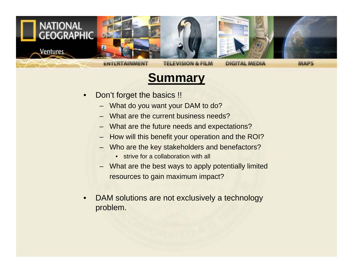

#### **Summary**

- Don't forget the basics !!
	- What do you want your DAM to do?
	- What are the current business needs?
	- What are the future needs and expectations?
	- How will this benefit your operation and the ROI?
	- Who are the key stakeholders and benefactors?
		- strive for a collaboration with all
	- What are the best ways to apply potentially limited resources to gain maximum impact?
- DAM solutions are not exclusively a technology problem.